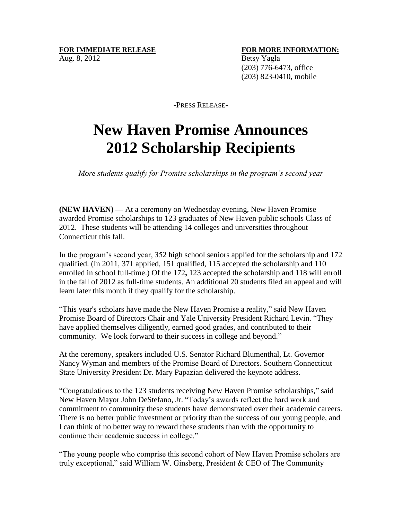## **FOR IMMEDIATE RELEASE FOR MORE INFORMATION:** Aug. 8, 2012 Betsy Yagla

 (203) 776-6473, office (203) 823-0410, mobile

-PRESS RELEASE-

## **New Haven Promise Announces 2012 Scholarship Recipients**

## *More students qualify for Promise scholarships in the program's second year*

**(NEW HAVEN) —** At a ceremony on Wednesday evening, New Haven Promise awarded Promise scholarships to 123 graduates of New Haven public schools Class of 2012. These students will be attending 14 colleges and universities throughout Connecticut this fall.

In the program's second year, 352 high school seniors applied for the scholarship and 172 qualified. (In 2011, 371 applied, 151 qualified, 115 accepted the scholarship and 110 enrolled in school full-time.) Of the 172**,** 123 accepted the scholarship and 118 will enroll in the fall of 2012 as full-time students. An additional 20 students filed an appeal and will learn later this month if they qualify for the scholarship.

"This year's scholars have made the New Haven Promise a reality," said New Haven Promise Board of Directors Chair and Yale University President Richard Levin. "They have applied themselves diligently, earned good grades, and contributed to their community. We look forward to their success in college and beyond."

At the ceremony, speakers included U.S. Senator Richard Blumenthal, Lt. Governor Nancy Wyman and members of the Promise Board of Directors. Southern Connecticut State University President Dr. Mary Papazian delivered the keynote address.

"Congratulations to the 123 students receiving New Haven Promise scholarships," said New Haven Mayor John DeStefano, Jr. "Today's awards reflect the hard work and commitment to community these students have demonstrated over their academic careers. There is no better public investment or priority than the success of our young people, and I can think of no better way to reward these students than with the opportunity to continue their academic success in college."

"The young people who comprise this second cohort of New Haven Promise scholars are truly exceptional," said William W. Ginsberg, President & CEO of The Community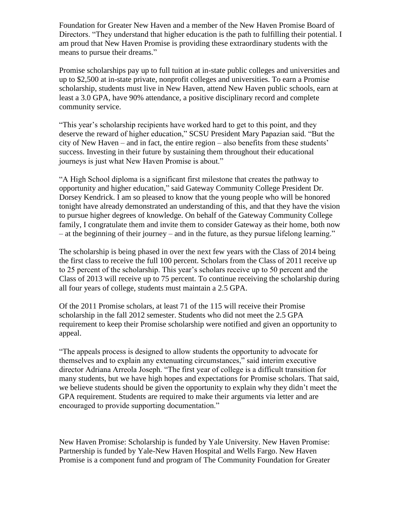Foundation for Greater New Haven and a member of the New Haven Promise Board of Directors. "They understand that higher education is the path to fulfilling their potential. I am proud that New Haven Promise is providing these extraordinary students with the means to pursue their dreams."

Promise scholarships pay up to full tuition at in-state public colleges and universities and up to \$2,500 at in-state private, nonprofit colleges and universities. To earn a Promise scholarship, students must live in New Haven, attend New Haven public schools, earn at least a 3.0 GPA, have 90% attendance, a positive disciplinary record and complete community service.

"This year's scholarship recipients have worked hard to get to this point, and they deserve the reward of higher education," SCSU President Mary Papazian said. "But the city of New Haven – and in fact, the entire region – also benefits from these students' success. Investing in their future by sustaining them throughout their educational journeys is just what New Haven Promise is about."

"A High School diploma is a significant first milestone that creates the pathway to opportunity and higher education," said Gateway Community College President Dr. Dorsey Kendrick. I am so pleased to know that the young people who will be honored tonight have already demonstrated an understanding of this, and that they have the vision to pursue higher degrees of knowledge. On behalf of the Gateway Community College family, I congratulate them and invite them to consider Gateway as their home, both now – at the beginning of their journey – and in the future, as they pursue lifelong learning."

The scholarship is being phased in over the next few years with the Class of 2014 being the first class to receive the full 100 percent. Scholars from the Class of 2011 receive up to 25 percent of the scholarship. This year's scholars receive up to 50 percent and the Class of 2013 will receive up to 75 percent. To continue receiving the scholarship during all four years of college, students must maintain a 2.5 GPA.

Of the 2011 Promise scholars, at least 71 of the 115 will receive their Promise scholarship in the fall 2012 semester. Students who did not meet the 2.5 GPA requirement to keep their Promise scholarship were notified and given an opportunity to appeal.

"The appeals process is designed to allow students the opportunity to advocate for themselves and to explain any extenuating circumstances," said interim executive director Adriana Arreola Joseph. "The first year of college is a difficult transition for many students, but we have high hopes and expectations for Promise scholars. That said, we believe students should be given the opportunity to explain why they didn't meet the GPA requirement. Students are required to make their arguments via letter and are encouraged to provide supporting documentation."

New Haven Promise: Scholarship is funded by Yale University. New Haven Promise: Partnership is funded by Yale-New Haven Hospital and Wells Fargo. New Haven Promise is a component fund and program of The Community Foundation for Greater